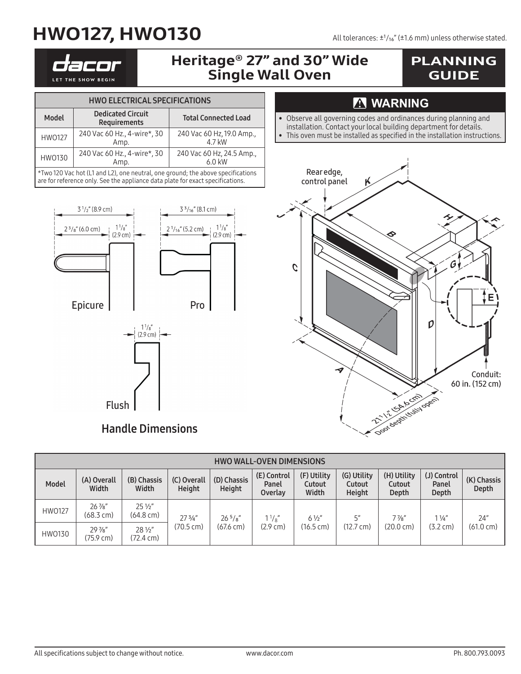# $HWO127, HWO130$  All tolerances:  $±1/16$  mm) unless otherwise stated.

LET THE SHOW BEGIN

### Heritage® 27" and 30" Wide Single Wall Oven

### PLANNING GUIDE

| <b>HWO ELECTRICAL SPECIFICATIONS</b>                                                                                                                              |                                          |                                     |  |  |  |  |  |  |
|-------------------------------------------------------------------------------------------------------------------------------------------------------------------|------------------------------------------|-------------------------------------|--|--|--|--|--|--|
| Model                                                                                                                                                             | <b>Dedicated Circuit</b><br>Requirements | <b>Total Connected Load</b>         |  |  |  |  |  |  |
| <b>HWO127</b>                                                                                                                                                     | 240 Vac 60 Hz., 4-wire*, 30<br>Amp.      | 240 Vac 60 Hz, 19.0 Amp.,<br>4.7 kW |  |  |  |  |  |  |
| <b>HWO130</b>                                                                                                                                                     | 240 Vac 60 Hz., 4-wire*, 30<br>Amp.      | 240 Vac 60 Hz, 24.5 Amp.,<br>6.0 kW |  |  |  |  |  |  |
| *Two 120 Vac hot (L1 and L2), one neutral, one ground; the above specifications<br>are for reference only. See the appliance data plate for exact specifications. |                                          |                                     |  |  |  |  |  |  |



#### Handle Dimensions

Flush

#### **MARNING**

- Observe all governing codes and ordinances during planning and
- installation. Contact your local building department for details.
- This oven must be installed as specified in the installation instructions.



| <b>HWO WALL-OVEN DIMENSIONS</b> |                                             |                                        |                       |                                     |                                 |                                |                                 |                                       |                               |                            |  |
|---------------------------------|---------------------------------------------|----------------------------------------|-----------------------|-------------------------------------|---------------------------------|--------------------------------|---------------------------------|---------------------------------------|-------------------------------|----------------------------|--|
| Model                           | (A) Overall<br>Width                        | (B) Chassis<br>Width                   | (C) Overall<br>Height | (D) Chassis<br>Height               | (E) Control<br>Panel<br>Overlay | (F) Utility<br>Cutout<br>Width | (G) Utility<br>Cutout<br>Height | (H) Utility<br>Cutout<br>Depth        | (J) Control<br>Panel<br>Depth | (K) Chassis<br>Depth       |  |
| <b>HWO127</b>                   | $26$ $\frac{7}{8}$ "<br>$(68.3 \text{ cm})$ | $25\frac{1}{2}$<br>$(64.8 \text{ cm})$ | 273/4"<br>(70.5 cm)   | $26^{5}/s''$<br>$(67.6 \text{ cm})$ | $1\frac{1}{8}$<br>(2.9 cm)      | $6\frac{1}{2}$<br>(16.5 cm)    | ς"<br>$(12.7 \text{ cm})$       | $7\frac{7}{8}$<br>$(20.0 \text{ cm})$ | $1\frac{1}{4}$<br>(3.2 cm)    | 24"<br>$(61.0 \text{ cm})$ |  |
| HW0130                          | $29\frac{7}{8}$<br>(75.9 cm)                | $28\frac{1}{2}$<br>(72.4 cm)           |                       |                                     |                                 |                                |                                 |                                       |                               |                            |  |